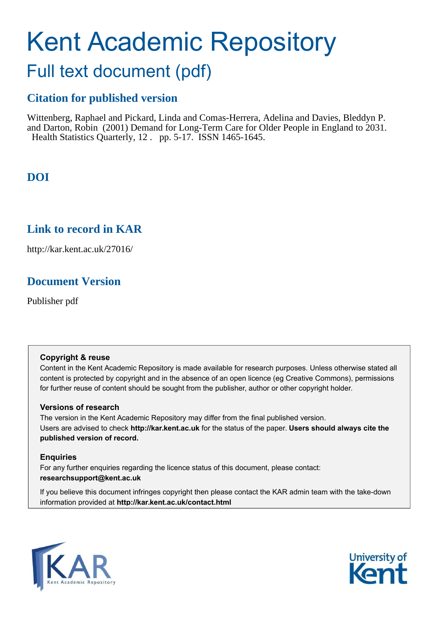# Kent Academic Repository

## Full text document (pdf)

## **Citation for published version**

Wittenberg, Raphael and Pickard, Linda and Comas-Herrera, Adelina and Davies, Bleddyn P. and Darton, Robin (2001) Demand for Long-Term Care for Older People in England to 2031. Health Statistics Quarterly, 12 . pp. 5-17. ISSN 1465-1645.

## **DOI**

## **Link to record in KAR**

http://kar.kent.ac.uk/27016/

## **Document Version**

Publisher pdf

#### **Copyright & reuse**

Content in the Kent Academic Repository is made available for research purposes. Unless otherwise stated all content is protected by copyright and in the absence of an open licence (eg Creative Commons), permissions for further reuse of content should be sought from the publisher, author or other copyright holder.

#### **Versions of research**

The version in the Kent Academic Repository may differ from the final published version. Users are advised to check **http://kar.kent.ac.uk** for the status of the paper. **Users should always cite the published version of record.**

#### **Enquiries**

For any further enquiries regarding the licence status of this document, please contact: **researchsupport@kent.ac.uk**

If you believe this document infringes copyright then please contact the KAR admin team with the take-down information provided at **http://kar.kent.ac.uk/contact.html**



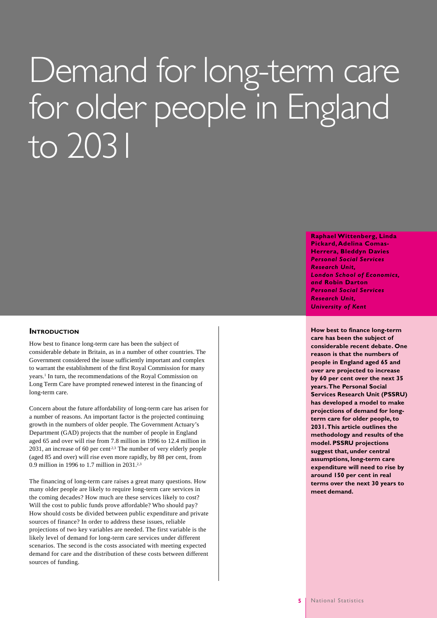# Demand for long-term care for older people in England to 2031

#### **Raphael Wittenberg, Linda Pickard, Adelina Comas-Herrera, Bleddyn Davies** *Personal Social Services Research Unit, London School of Economics, and* **Robin Darton** *Personal Social Services Research Unit, University of Kent*

**How best to finance long-term care has been the subject of considerable recent debate. One reason is that the numbers of people in England aged 65 and over are projected to increase by 60 per cent over the next 35 years. The Personal Social Services Research Unit (PSSRU) has developed a model to make projections of demand for longterm care for older people, to 2031. This article outlines the methodology and results of the model. PSSRU projections suggest that, under central assumptions, long-term care expenditure will need to rise by around 150 per cent in real terms over the next 30 years to meet demand.**

#### **INTRODUCTION**

How best to finance long-term care has been the subject of considerable debate in Britain, as in a number of other countries. The Government considered the issue sufficiently important and complex to warrant the establishment of the first Royal Commission for many years.<sup>1</sup> In turn, the recommendations of the Royal Commission on Long Term Care have prompted renewed interest in the financing of long-term care.

Concern about the future affordability of long-term care has arisen for a number of reasons. An important factor is the projected continuing growth in the numbers of older people. The Government Actuary's Department (GAD) projects that the number of people in England aged 65 and over will rise from 7.8 million in 1996 to 12.4 million in  $2031$ , an increase of 60 per cent<sup>2,3</sup> The number of very elderly people (aged 85 and over) will rise even more rapidly, by 88 per cent, from 0.9 million in 1996 to 1.7 million in 2031.2,3

The financing of long-term care raises a great many questions. How many older people are likely to require long-term care services in the coming decades? How much are these services likely to cost? Will the cost to public funds prove affordable? Who should pay? How should costs be divided between public expenditure and private sources of finance? In order to address these issues, reliable projections of two key variables are needed. The first variable is the likely level of demand for long-term care services under different scenarios. The second is the costs associated with meeting expected demand for care and the distribution of these costs between different sources of funding.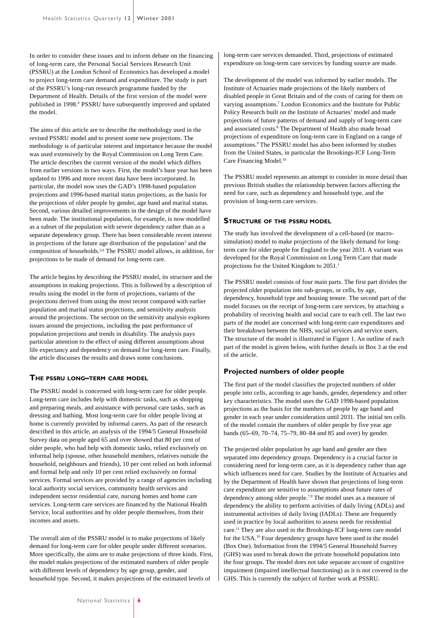In order to consider these issues and to inform debate on the financing of long-term care, the Personal Social Services Research Unit (PSSRU) at the London School of Economics has developed a model to project long-term care demand and expenditure. The study is part of the PSSRU's long-run research programme funded by the Department of Health. Details of the first version of the model were published in 1998.<sup>4</sup> PSSRU have subsequently improved and updated the model.

The aims of this article are to describe the methodology used in the revised PSSRU model and to present some new projections. The methodology is of particular interest and importance because the model was used extensively by the Royal Commission on Long Term Care. The article describes the current version of the model which differs from earlier versions in two ways. First, the model's base year has been updated to 1996 and more recent data have been incorporated. In particular, the model now uses the GAD's 1998-based population projections and 1996-based marital status projections, as the basis for the projections of older people by gender, age band and marital status. Second, various detailed improvements in the design of the model have been made. The institutional population, for example, is now modelled as a subset of the population with severe dependency rather than as a separate dependency group. There has been considerable recent interest in projections of the future age distribution of the population<sup>3</sup> and the composition of households.5,6 The PSSRU model allows, in addition, for projections to be made of demand for long-term care.

The article begins by describing the PSSRU model, its structure and the assumptions in making projections. This is followed by a description of results using the model in the form of projections, variants of the projections derived from using the most recent compared with earlier population and marital status projections, and sensitivity analysis around the projections. The section on the sensitivity analysis explores issues around the projections, including the past performance of population projections and trends in disability. The analysis pays particular attention to the effect of using different assumptions about life expectancy and dependency on demand for long-term care. Finally, the article discusses the results and draws some conclusions.

#### **THE PSSRU LONG–TERM CARE MODEL**

The PSSRU model is concerned with long-term care for older people. Long-term care includes help with domestic tasks, such as shopping and preparing meals, and assistance with personal care tasks, such as dressing and bathing. Most long-term care for older people living at home is currently provided by informal carers. As part of the research described in this article, an analysis of the 1994/5 General Household Survey data on people aged 65 and over showed that 80 per cent of older people, who had help with domestic tasks, relied exclusively on informal help (spouse, other household members, relatives outside the household, neighbours and friends), 10 per cent relied on both informal and formal help and only 10 per cent relied exclusively on formal services. Formal services are provided by a range of agencies including local authority social services, community health services and independent sector residential care, nursing homes and home care services. Long-term care services are financed by the National Health Service, local authorities and by older people themselves, from their incomes and assets.

The overall aim of the PSSRU model is to make projections of likely demand for long-term care for older people under different scenarios. More specifically, the aims are to make projections of three kinds. First, the model makes projections of the estimated numbers of older people with different levels of dependency by age group, gender, and household type. Second, it makes projections of the estimated levels of

long-term care services demanded. Third, projections of estimated expenditure on long-term care services by funding source are made.

The development of the model was informed by earlier models. The Institute of Actuaries made projections of the likely numbers of disabled people in Great Britain and of the costs of caring for them on varying assumptions.<sup>7</sup> London Economics and the Institute for Public Policy Research built on the Institute of Actuaries' model and made projections of future patterns of demand and supply of long-term care and associated costs.<sup>8</sup> The Department of Health also made broad projections of expenditure on long-term care in England on a range of assumptions.<sup>9</sup> The PSSRU model has also been informed by studies from the United States, in particular the Brookings-ICF Long-Term Care Financing Model.<sup>10</sup>

The PSSRU model represents an attempt to consider in more detail than previous British studies the relationship between factors affecting the need for care, such as dependency and household type, and the provision of long-term care services.

#### **STRUCTURE OF THE PSSRU MODEL**

The study has involved the development of a cell-based (or macrosimulation) model to make projections of the likely demand for longterm care for older people for England to the year 2031. A variant was developed for the Royal Commission on Long Term Care that made projections for the United Kingdom to 2051.<sup>1</sup>

The PSSRU model consists of four main parts. The first part divides the projected older population into sub-groups, or cells, by age, dependency, household type and housing tenure. The second part of the model focuses on the receipt of long-term care services, by attaching a probability of receiving health and social care to each cell. The last two parts of the model are concerned with long-term care expenditures and their breakdown between the NHS, social services and service users. The structure of the model is illustrated in Figure 1. An outline of each part of the model is given below, with further details in Box 3 at the end of the article.

#### **Projected numbers of older people**

The first part of the model classifies the projected numbers of older people into cells, according to age bands, gender, dependency and other key characteristics. The model uses the GAD 1998-based population projections as the basis for the numbers of people by age band and gender in each year under consideration until 2031. The initial ten cells of the model contain the numbers of older people by five year age bands (65–69, 70–74, 75–79, 80–84 and 85 and over) by gender.

The projected older population by age band and gender are then separated into dependency groups. Dependency is a crucial factor in considering need for long-term care, as it is dependency rather than age which influences need for care. Studies by the Institute of Actuaries and by the Department of Health have shown that projections of long-term care expenditure are sensitive to assumptions about future rates of dependency among older people.7,9 The model uses as a measure of dependency the ability to perform activities of daily living (ADLs) and instrumental activities of daily living (IADLs). These are frequently used in practice by local authorities to assess needs for residential care.<sup>11</sup> They are also used in the Brookings-ICF long-term care model for the USA.<sup>10</sup> Four dependency groups have been used in the model (Box One). Information from the 1994/5 General Household Survey (GHS) was used to break down the private household population into the four groups. The model does not take separate account of cognitive impairment (impaired intellectual functioning) as it is not covered in the GHS. This is currently the subject of further work at PSSRU.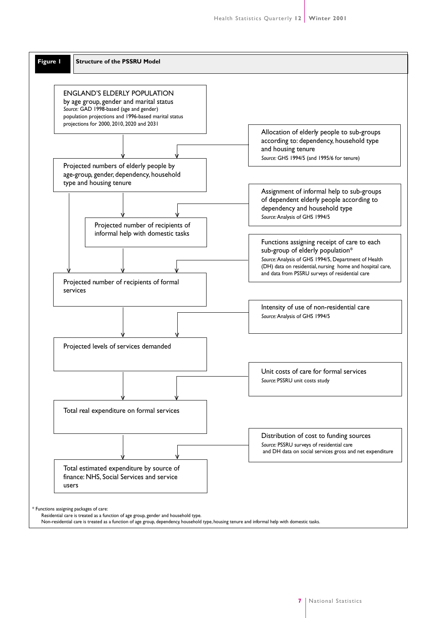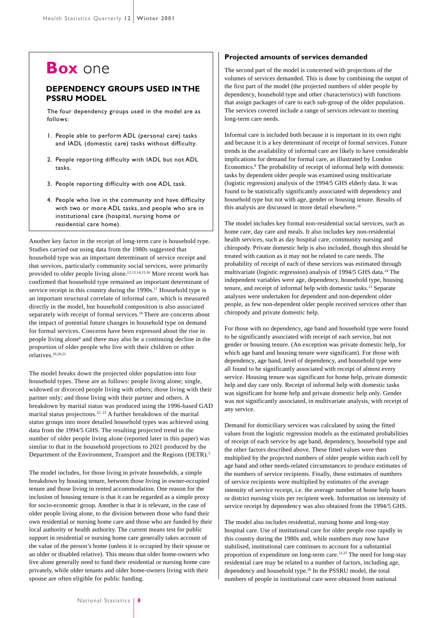## **Box** one

#### **DEPENDENCY GROUPS USED IN THE PSSRU MODEL**

The four dependency groups used in the model are as follows:

- 1. People able to perform ADL (personal care) tasks and IADL (domestic care) tasks without difficulty.
- 2. People reporting difficulty with IADL but not ADL tasks.
- 3. People reporting difficulty with one ADL task.
- 4. People who live in the community and have difficulty with two or more ADL tasks, and people who are in institutional care (hospital, nursing home or residential care home).

Another key factor in the receipt of long-term care is household type. Studies carried out using data from the 1980s suggested that household type was an important determinant of service receipt and that services, particularly community social services, were primarily provided to older people living alone.12,13,14,15,16 More recent work has confirmed that household type remained an important determinant of service receipt in this country during the 1990s.<sup>17</sup> Household type is an important structural correlate of informal care, which is measured directly in the model, but household composition is also associated separately with receipt of formal services.<sup>18</sup> There are concerns about the impact of potential future changes in household type on demand for formal services. Concerns have been expressed about the rise in people living alone<sup>6</sup> and there may also be a continuing decline in the proportion of older people who live with their children or other relatives.19,20,21

The model breaks down the projected older population into four household types. These are as follows: people living alone; single, widowed or divorced people living with others; those living with their partner only; and those living with their partner and others. A breakdown by marital status was produced using the 1996-based GAD marital status projections.<sup>22, 23</sup> A further breakdown of the marital status groups into more detailed household types was achieved using data from the 1994/5 GHS. The resulting projected trend in the number of older people living alone (reported later in this paper) was similar to that in the household projections to 2021 produced by the Department of the Environment, Transport and the Regions (DETR).<sup>5</sup>

The model includes, for those living in private households, a simple breakdown by housing tenure, between those living in owner-occupied tenure and those living in rented accommodation. One reason for the inclusion of housing tenure is that it can be regarded as a simple proxy for socio-economic group. Another is that it is relevant, in the case of older people living alone, to the division between those who fund their own residential or nursing home care and those who are funded by their local authority or health authority. The current means test for public support in residential or nursing home care generally takes account of the value of the person's home (unless it is occupied by their spouse or an older or disabled relative). This means that older home-owners who live alone generally need to fund their residential or nursing home care privately, while older tenants and older home-owners living with their spouse are often eligible for public funding.

#### **Projected amounts of services demanded**

The second part of the model is concerned with projections of the volumes of services demanded. This is done by combining the output of the first part of the model (the projected numbers of older people by dependency, household type and other characteristics) with functions that assign packages of care to each sub-group of the older population. The services covered include a range of services relevant to meeting long-term care needs.

Informal care is included both because it is important in its own right and because it is a key determinant of receipt of formal services. Future trends in the availability of informal care are likely to have considerable implications for demand for formal care, as illustrated by London Economics.<sup>8</sup> The probability of receipt of informal help with domestic tasks by dependent older people was examined using multivariate (logistic regression) analysis of the 1994/5 GHS elderly data. It was found to be statistically significantly associated with dependency and household type but not with age, gender or housing tenure. Results of this analysis are discussed in more detail elsewhere.<sup>18</sup>

The model includes key formal non-residential social services, such as home care, day care and meals. It also includes key non-residential health services, such as day hospital care, community nursing and chiropody. Private domestic help is also included, though this should be treated with caution as it may not be related to care needs. The probability of receipt of each of these services was estimated through multivariate (logistic regression) analysis of  $1994/5$  GHS data.<sup>24</sup> The independent variables were age, dependency, household type, housing tenure, and receipt of informal help with domestic tasks.<sup>13</sup> Separate analyses were undertaken for dependent and non-dependent older people, as few non-dependent older people received services other than chiropody and private domestic help.

For those with no dependency, age band and household type were found to be significantly associated with receipt of each service, but not gender or housing tenure. (An exception was private domestic help, for which age band and housing tenure were significant). For those with dependency, age band, level of dependency, and household type were all found to be significantly associated with receipt of almost every service. Housing tenure was significant for home help, private domestic help and day care only. Receipt of informal help with domestic tasks was significant for home help and private domestic help only. Gender was not significantly associated, in multivariate analysis, with receipt of any service.

Demand for domiciliary services was calculated by using the fitted values from the logistic regression models as the estimated probabilities of receipt of each service by age band, dependency, household type and the other factors described above. These fitted values were then multiplied by the projected numbers of older people within each cell by age band and other needs-related circumstances to produce estimates of the numbers of service recipients. Finally, these estimates of numbers of service recipients were multiplied by estimates of the average intensity of service receipt, i.e. the average number of home help hours or district nursing visits per recipient week. Information on intensity of service receipt by dependency was also obtained from the 1994/5 GHS.

The model also includes residential, nursing home and long-stay hospital care. Use of institutional care for older people rose rapidly in this country during the 1980s and, while numbers may now have stabilised, institutional care continues to account for a substantial proportion of expenditure on long-term care.<sup>21,25</sup> The need for long-stay residential care may be related to a number of factors, including age, dependency and household type.<sup>26</sup> In the PSSRU model, the total numbers of people in institutional care were obtained from national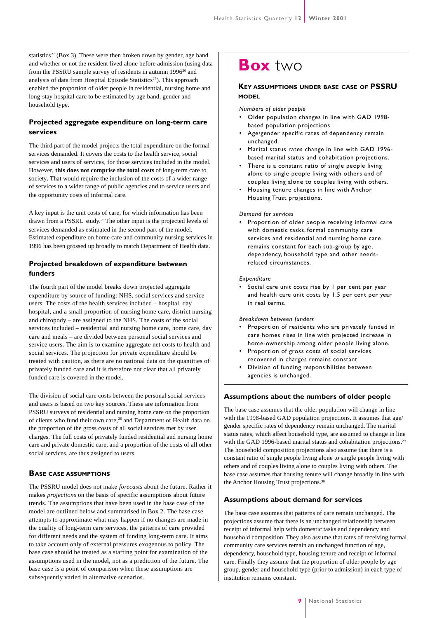statistics<sup>27</sup> (Box 3). These were then broken down by gender, age band and whether or not the resident lived alone before admission (using data from the PSSRU sample survey of residents in autumn 1996<sup>26</sup> and analysis of data from Hospital Episode Statistics<sup>27</sup>). This approach enabled the proportion of older people in residential, nursing home and long-stay hospital care to be estimated by age band, gender and household type.

#### **Projected aggregate expenditure on long-term care services**

The third part of the model projects the total expenditure on the formal services demanded. It covers the costs to the health service, social services and users of services, for those services included in the model. However, **this does not comprise the total costs** of long-term care to society. That would require the inclusion of the costs of a wider range of services to a wider range of public agencies and to service users and the opportunity costs of informal care.

A key input is the unit costs of care, for which information has been drawn from a PSSRU study.28 The other input is the projected levels of services demanded as estimated in the second part of the model. Estimated expenditure on home care and community nursing services in 1996 has been grossed up broadly to match Department of Health data.

#### **Projected breakdown of expenditure between funders**

The fourth part of the model breaks down projected aggregate expenditure by source of funding: NHS, social services and service users. The costs of the health services included – hospital, day hospital, and a small proportion of nursing home care, district nursing and chiropody – are assigned to the NHS. The costs of the social services included – residential and nursing home care, home care, day care and meals – are divided between personal social services and service users. The aim is to examine aggregate net costs to health and social services. The projection for private expenditure should be treated with caution, as there are no national data on the quantities of privately funded care and it is therefore not clear that all privately funded care is covered in the model.

The division of social care costs between the personal social services and users is based on two key sources. These are information from PSSRU surveys of residential and nursing home care on the proportion of clients who fund their own care,<sup>26</sup> and Department of Health data on the proportion of the gross costs of all social services met by user charges. The full costs of privately funded residential and nursing home care and private domestic care, and a proportion of the costs of all other social services, are thus assigned to users.

#### **BASE CASE ASSUMPTIONS**

The PSSRU model does not make *forecasts* about the future. Rather it makes *projections* on the basis of specific assumptions about future trends. The assumptions that have been used in the base case of the model are outlined below and summarised in Box 2. The base case attempts to approximate what may happen if no changes are made in the quality of long-term care services, the patterns of care provided for different needs and the system of funding long-term care. It aims to take account only of external pressures exogenous to policy. The base case should be treated as a starting point for examination of the assumptions used in the model, not as a prediction of the future. The base case is a point of comparison when these assumptions are subsequently varied in alternative scenarios.

## **Box** two

#### **KEY ASSUMPTIONS UNDER BASE CASE OF PSSRU MODEL**

*Numbers of older people*

- Older population changes in line with GAD 1998 based population projections
- Age/gender specific rates of dependency remain unchanged.
- Marital status rates change in line with GAD 1996 based marital status and cohabitation projections.
- There is a constant ratio of single people living alone to single people living with others and of couples living alone to couples living with others.
- Housing tenure changes in line with Anchor Housing Trust projections.

#### *Demand for services*

• Proportion of older people receiving informal care with domestic tasks, formal community care services and residential and nursing home care remains constant for each sub-group by age, dependency, household type and other needsrelated circumstances.

#### *Expenditure*

Social care unit costs rise by I per cent per year and health care unit costs by 1.5 per cent per year in real terms.

#### *Breakdown between funders*

- Proportion of residents who are privately funded in care homes rises in line with projected increase in home-ownership among older people living alone.
- Proportion of gross costs of social services recovered in charges remains constant.
- Division of funding responsibilities between agencies is unchanged.

#### **Assumptions about the numbers of older people**

The base case assumes that the older population will change in line with the 1998-based GAD population projections. It assumes that age/ gender specific rates of dependency remain unchanged. The marital status rates, which affect household type, are assumed to change in line with the GAD 1996-based marital status and cohabitation projections.<sup>29</sup> The household composition projections also assume that there is a constant ratio of single people living alone to single people living with others and of couples living alone to couples living with others. The base case assumes that housing tenure will change broadly in line with the Anchor Housing Trust projections.<sup>30</sup>

#### **Assumptions about demand for services**

The base case assumes that patterns of care remain unchanged. The projections assume that there is an unchanged relationship between receipt of informal help with domestic tasks and dependency and household composition. They also assume that rates of receiving formal community care services remain an unchanged function of age, dependency, household type, housing tenure and receipt of informal care. Finally they assume that the proportion of older people by age group, gender and household type (prior to admission) in each type of institution remains constant.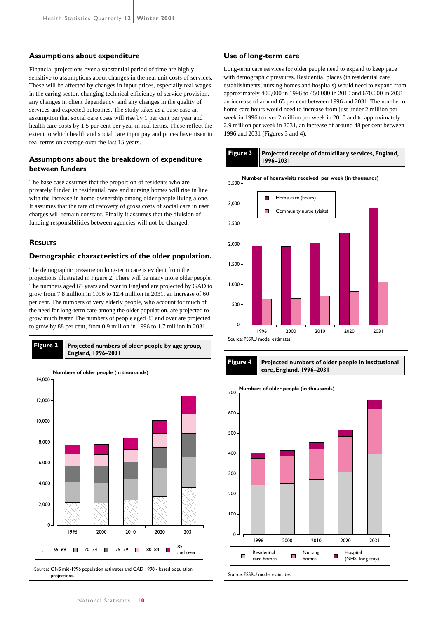#### **Assumptions about expenditure**

Financial projections over a substantial period of time are highly sensitive to assumptions about changes in the real unit costs of services. These will be affected by changes in input prices, especially real wages in the caring sector, changing technical efficiency of service provision, any changes in client dependency, and any changes in the quality of services and expected outcomes. The study takes as a base case an assumption that social care costs will rise by 1 per cent per year and health care costs by 1.5 per cent per year in real terms. These reflect the extent to which health and social care input pay and prices have risen in real terms on average over the last 15 years.

#### **Assumptions about the breakdown of expenditure between funders**

The base case assumes that the proportion of residents who are privately funded in residential care and nursing homes will rise in line with the increase in home-ownership among older people living alone. It assumes that the rate of recovery of gross costs of social care in user charges will remain constant. Finally it assumes that the division of funding responsibilities between agencies will not be changed.

#### **RESULTS**

#### **Demographic characteristics of the older population.**

The demographic pressure on long-term care is evident from the projections illustrated in Figure 2. There will be many more older people. The numbers aged 65 years and over in England are projected by GAD to grow from 7.8 million in 1996 to 12.4 million in 2031, an increase of 60 per cent. The numbers of very elderly people, who account for much of the need for long-term care among the older population, are projected to grow much faster. The numbers of people aged 85 and over are projected to grow by 88 per cent, from 0.9 million in 1996 to 1.7 million in 2031.



#### **Use of long-term care**

Long-term care services for older people need to expand to keep pace with demographic pressures. Residential places (in residential care establishments, nursing homes and hospitals) would need to expand from approximately 400,000 in 1996 to 450,000 in 2010 and 670,000 in 2031, an increase of around 65 per cent between 1996 and 2031. The number of home care hours would need to increase from just under 2 million per week in 1996 to over 2 million per week in 2010 and to approximately 2.9 million per week in 2031, an increase of around 48 per cent between 1996 and 2031 (Figures 3 and 4).



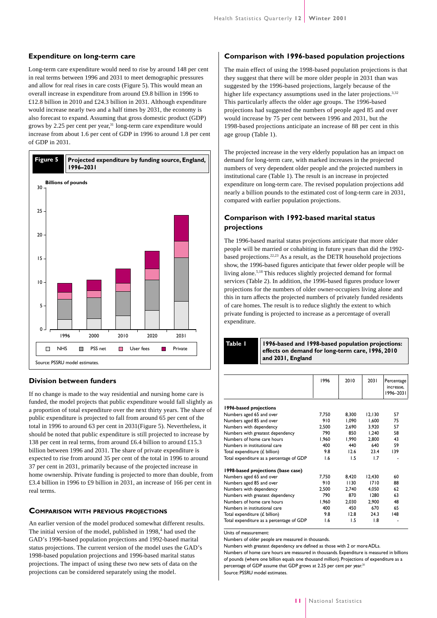#### **Expenditure on long-term care**

Long-term care expenditure would need to rise by around 148 per cent in real terms between 1996 and 2031 to meet demographic pressures and allow for real rises in care costs (Figure 5). This would mean an overall increase in expenditure from around £9.8 billion in 1996 to £12.8 billion in 2010 and £24.3 billion in 2031. Although expenditure would increase nearly two and a half times by 2031, the economy is also forecast to expand. Assuming that gross domestic product (GDP) grows by 2.25 per cent per year, $31 \text{ long-term care expenditure would}$ increase from about 1.6 per cent of GDP in 1996 to around 1.8 per cent of GDP in 2031.



#### **Division between funders**

If no change is made to the way residential and nursing home care is funded, the model projects that public expenditure would fall slightly as a proportion of total expenditure over the next thirty years. The share of public expenditure is projected to fall from around 65 per cent of the total in 1996 to around 63 per cent in 2031(Figure 5). Nevertheless, it should be noted that public expenditure is still projected to increase by 138 per cent in real terms, from around £6.4 billion to around £15.3 billion between 1996 and 2031. The share of private expenditure is expected to rise from around 35 per cent of the total in 1996 to around 37 per cent in 2031, primarily because of the projected increase in home ownership. Private funding is projected to more than double, from £3.4 billion in 1996 to £9 billion in 2031, an increase of 166 per cent in real terms.

#### **COMPARISON WITH PREVIOUS PROJECTIONS**

An earlier version of the model produced somewhat different results. The initial version of the model, published in 1998,<sup>4</sup> had used the GAD's 1996-based population projections and 1992-based marital status projections. The current version of the model uses the GAD's 1998-based population projections and 1996-based marital status projections. The impact of using these two new sets of data on the projections can be considered separately using the model.

#### **Comparison with 1996-based population projections**

The main effect of using the 1998-based population projections is that they suggest that there will be more older people in 2031 than was suggested by the 1996-based projections, largely because of the higher life expectancy assumptions used in the later projections.<sup>3,32</sup> This particularly affects the older age groups. The 1996-based projections had suggested the numbers of people aged 85 and over would increase by 75 per cent between 1996 and 2031, but the 1998-based projections anticipate an increase of 88 per cent in this age group (Table 1).

The projected increase in the very elderly population has an impact on demand for long-term care, with marked increases in the projected numbers of very dependent older people and the projected numbers in institutional care (Table 1). The result is an increase in projected expenditure on long-term care. The revised population projections add nearly a billion pounds to the estimated cost of long-term care in 2031, compared with earlier population projections.

#### **Comparison with 1992-based marital status projections**

The 1996-based marital status projections anticipate that more older people will be married or cohabiting in future years than did the 1992 based projections.22,23 As a result, as the DETR household projections show, the 1996-based figures anticipate that fewer older people will be living alone.5,18 This reduces slightly projected demand for formal services (Table 2). In addition, the 1996-based figures produce lower projections for the numbers of older owner-occupiers living alone and this in turn affects the projected numbers of privately funded residents of care homes. The result is to reduce slightly the extent to which private funding is projected to increase as a percentage of overall expenditure.

**Table 1**

**1996-based and 1998-based population projections: effects on demand for long-term care, 1996, 2010 and 2031, England**

|                                          | 1996  | 2010  | 2031   | Percentage<br>increase,<br>1996-2031 |
|------------------------------------------|-------|-------|--------|--------------------------------------|
| 1996-based projections                   |       |       |        |                                      |
| Numbers aged 65 and over                 | 7.750 | 8.300 | 12.130 | 57                                   |
| Numbers aged 85 and over                 | 910   | 1.090 | 1.600  | 75                                   |
| Numbers with dependency                  | 2,500 | 2.690 | 3.920  | 57                                   |
| Numbers with greatest dependency         | 790   | 850   | 1.240  | 58                                   |
| Numbers of home care hours               | 1.960 | 1.990 | 2.800  | 43                                   |
| Numbers in institutional care            | 400   | 440   | 640    | 59                                   |
| Total expenditure (£ billion)            | 9.8   | 12.6  | 23.4   | 139                                  |
| Total expenditure as a percentage of GDP | 1.6   | 1.5   | 1.7    |                                      |
| 1998-based projections (base case)       |       |       |        |                                      |
| Numbers aged 65 and over                 | 7.750 | 8,420 | 12.430 | 60                                   |
| Numbers aged 85 and over                 | 910   | 1130  | 1710   | 88                                   |
| Numbers with dependency                  | 2.500 | 2.740 | 4.050  | 62                                   |
| Numbers with greatest dependency         | 790   | 870   | 1280   | 63                                   |
| Numbers of home care hours               | 1,960 | 2.030 | 2,900  | 48                                   |
| Numbers in institutional care            | 400   | 450   | 670    | 65                                   |
| Total expenditure (£ billion)            | 9.8   | 12.8  | 24.3   | 48                                   |
| Total expenditure as a percentage of GDP | 1.6   | 1.5   | 1.8    |                                      |
|                                          |       |       |        |                                      |

Units of measurement:

Numbers of older people are measured in thousands.

Numbers with greatest dependency are defined as those with 2 or more ADLs. Numbers of home care hours are measured in thousands. Expenditure is measured in billions of pounds (where one billion equals one thousand million). Projections of expenditure as a percentage of GDP assume that GDP grows at 2.25 per cent per year.<sup>31</sup> Source: PSSRU model estimates.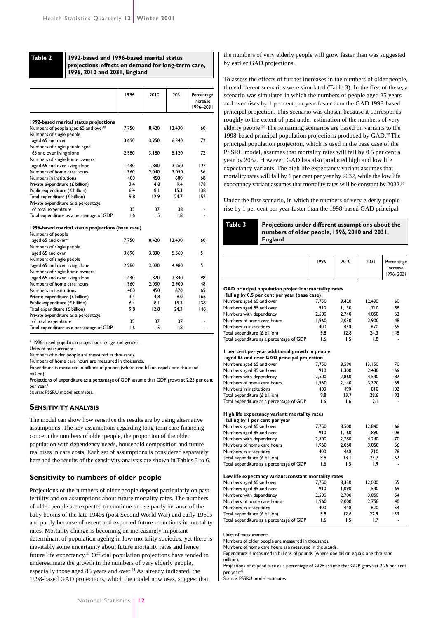**Table 2**

#### **1992-based and 1996-based marital status projections: effects on demand for long-term care, 1996, 2010 and 2031, England**

|                                                   | 1996  | 2010  | 2031   | Percentage<br>increase<br>1996-2031 |
|---------------------------------------------------|-------|-------|--------|-------------------------------------|
| 1992-based marital status projections             |       |       |        |                                     |
| Numbers of people aged 65 and over*               | 7,750 | 8.420 | 12,430 | 60                                  |
| Numbers of single people                          |       |       |        |                                     |
| aged 65 and over                                  | 3.690 | 3,950 | 6,340  | 72                                  |
| Numbers of single people aged                     |       |       |        |                                     |
| 65 and over living alone                          | 2,980 | 3.180 | 5,120  | 72                                  |
| Numbers of single home owners                     |       |       |        |                                     |
| aged 65 and over living alone                     | 1.440 | 1.880 | 3.260  | 127                                 |
| Numbers of home care hours                        | 1.960 | 2.040 | 3.050  | 56                                  |
| Numbers in institutions                           | 400   | 450   | 680    | 68                                  |
| Private expenditure $(f$ billion)                 | 3.4   | 4.8   | 9.4    | 178                                 |
| Public expenditure (£ billion)                    | 6.4   | 8.1   | 15.3   | 138                                 |
| Total expenditure (£ billion)                     | 9.8   | 12.9  | 24.7   | 152                                 |
| Private expenditure as a percentage               |       |       |        |                                     |
| of total expenditure                              | 35    | 37    | 38     |                                     |
| Total expenditure as a percentage of GDP          | 1.6   | 1.5   | 1.8    |                                     |
| 1996-based marital status projections (base case) |       |       |        |                                     |
| Numbers of people                                 |       |       |        |                                     |
| aged 65 and over*                                 | 7,750 | 8,420 | 12,430 | 60                                  |
| Numbers of single people                          |       |       |        |                                     |
| aged 65 and over                                  | 3,690 | 3,830 | 5,560  | 51                                  |
| Numbers of single people                          |       |       |        |                                     |
| aged 65 and over living alone                     | 2,980 | 3,090 | 4,480  | 51                                  |
| Numbers of single home owners                     |       |       |        |                                     |
| aged 65 and over living alone                     | 1,440 | 1,820 | 2,840  | 98                                  |
| Numbers of home care hours                        | 1,960 | 2.030 | 2,900  | 48                                  |
| Numbers in institutions                           | 400   | 450   | 670    | 65                                  |
| Private expenditure (£ billion)                   | 3.4   | 4.8   | 9.0    | 166                                 |
| Public expenditure (£ billion)                    | 6.4   | 8.1   | 15.3   | 138                                 |
| Total expenditure (£ billion)                     | 9.8   | 12.8  | 24.3   | 148                                 |
| Private expenditure as a percentage               |       |       |        |                                     |
| of total expenditure                              | 35    | 37    | 37     |                                     |
| Total expenditure as a percentage of GDP          | 1.6   | 1.5   | 1.8    |                                     |

\* 1998-based population projections by age and gender.

Units of measurement:

Numbers of older people are measured in thousands.

Numbers of home care hours are measured in thousands.

Expenditure is measured in billions of pounds (where one billion equals one thousand million).

Projections of expenditure as a percentage of GDP assume that GDP grows at 2.25 per cent per year.<sup>31</sup>

Source: PSSRU model estimates.

#### **SENSITIVITY ANALYSIS**

The model can show how sensitive the results are by using alternative assumptions. The key assumptions regarding long-term care financing concern the numbers of older people, the proportion of the older population with dependency needs, household composition and future real rises in care costs. Each set of assumptions is considered separately here and the results of the sensitivity analysis are shown in Tables 3 to 6.

#### **Sensitivity to numbers of older people**

Projections of the numbers of older people depend particularly on past fertility and on assumptions about future mortality rates. The numbers of older people are expected to continue to rise partly because of the baby booms of the late 1940s (post Second World War) and early 1960s and partly because of recent and expected future reductions in mortality rates. Mortality change is becoming an increasingly important determinant of population ageing in low-mortality societies, yet there is inevitably some uncertainty about future mortality rates and hence future life expectancy.<sup>33</sup> Official population projections have tended to underestimate the growth in the numbers of very elderly people, especially those aged 85 years and over.<sup>34</sup> As already indicated, the 1998-based GAD projections, which the model now uses, suggest that

the numbers of very elderly people will grow faster than was suggested by earlier GAD projections.

To assess the effects of further increases in the numbers of older people, three different scenarios were simulated (Table 3). In the first of these, a scenario was simulated in which the numbers of people aged 85 years and over rises by 1 per cent per year faster than the GAD 1998-based principal projection. This scenario was chosen because it corresponds roughly to the extent of past under-estimation of the numbers of very elderly people.34 The remaining scenarios are based on variants to the 1998-based principal population projections produced by GAD.35 The principal population projection, which is used in the base case of the PSSRU model, assumes that mortality rates will fall by 0.5 per cent a year by 2032. However, GAD has also produced high and low life expectancy variants. The high life expectancy variant assumes that mortality rates will fall by 1 per cent per year by 2032, while the low life expectancy variant assumes that mortality rates will be constant by 2032.<sup>36</sup>

Under the first scenario, in which the numbers of very elderly people rise by 1 per cent per year faster than the 1998-based GAD principal

#### **Projections under different assumptions about the numbers of older people, 1996, 2010 and 2031, England Table 3**

| 1996  | 2010                                                                                                                                                                                                 | 2031                                                                                                                            | Percentage<br>increase,<br>1996-2031 |
|-------|------------------------------------------------------------------------------------------------------------------------------------------------------------------------------------------------------|---------------------------------------------------------------------------------------------------------------------------------|--------------------------------------|
|       |                                                                                                                                                                                                      |                                                                                                                                 |                                      |
|       |                                                                                                                                                                                                      |                                                                                                                                 |                                      |
| 7.750 |                                                                                                                                                                                                      |                                                                                                                                 | 60                                   |
|       |                                                                                                                                                                                                      |                                                                                                                                 | 88                                   |
| 2,500 | 2,740                                                                                                                                                                                                | 4,050                                                                                                                           | 62                                   |
| 1.960 | 2.030                                                                                                                                                                                                | 2,900                                                                                                                           | 48                                   |
| 400   | 450                                                                                                                                                                                                  | 670                                                                                                                             | 65                                   |
| 9.8   | 12.8                                                                                                                                                                                                 | 24.3                                                                                                                            | 148                                  |
| 1.6   | 1.5                                                                                                                                                                                                  | 1.8                                                                                                                             |                                      |
|       |                                                                                                                                                                                                      |                                                                                                                                 |                                      |
|       |                                                                                                                                                                                                      |                                                                                                                                 |                                      |
| 7,750 | 8,590                                                                                                                                                                                                | 13,150                                                                                                                          | 70                                   |
| 910   | 1,300                                                                                                                                                                                                | 2,430                                                                                                                           | 166                                  |
| 2.500 | 2.860                                                                                                                                                                                                | 4.540                                                                                                                           | 82                                   |
| 1,960 | 2,140                                                                                                                                                                                                | 3.320                                                                                                                           | 69                                   |
| 400   | 490                                                                                                                                                                                                  | 810                                                                                                                             | 102                                  |
| 9.8   | 13.7                                                                                                                                                                                                 | 28.6                                                                                                                            | 192                                  |
| 1.6   | 1.6                                                                                                                                                                                                  | 2.1                                                                                                                             | ٠                                    |
|       |                                                                                                                                                                                                      |                                                                                                                                 |                                      |
|       |                                                                                                                                                                                                      |                                                                                                                                 |                                      |
| 7.750 | 8,500                                                                                                                                                                                                | 12,840                                                                                                                          | 66                                   |
| 910   | 1,160                                                                                                                                                                                                | 1,890                                                                                                                           | 108                                  |
| 2.500 | 2.780                                                                                                                                                                                                | 4,240                                                                                                                           | 70                                   |
| 1.960 | 2.060                                                                                                                                                                                                | 3.050                                                                                                                           | 56                                   |
| 400   | 460                                                                                                                                                                                                  | 710                                                                                                                             | 76                                   |
| 9.8   | 13.1                                                                                                                                                                                                 | 25.7                                                                                                                            | 162                                  |
| 1.6   | 1.5                                                                                                                                                                                                  | 1.9                                                                                                                             | ٠                                    |
|       |                                                                                                                                                                                                      |                                                                                                                                 |                                      |
| 7.750 | 8.330                                                                                                                                                                                                | 12,000                                                                                                                          | 55                                   |
| 910   | 1,090                                                                                                                                                                                                | 1,540                                                                                                                           | 69                                   |
| 2,500 | 2,700                                                                                                                                                                                                | 3,850                                                                                                                           | 54                                   |
| 1.960 | 2.000                                                                                                                                                                                                | 2.750                                                                                                                           | 40                                   |
| 400   | 440                                                                                                                                                                                                  | 620                                                                                                                             | 54                                   |
| 9.8   | 12.6                                                                                                                                                                                                 | 22.9                                                                                                                            | 133                                  |
| 1.6   | 1.5                                                                                                                                                                                                  | 1.7                                                                                                                             |                                      |
|       | falling by 0.5 per cent per year (base case)<br>910<br>I per cent per year additional growth in people<br>aged 85 and over GAD principal projection<br>High life expectancy variant: mortality rates | GAD principal population projection: mortality rates<br>8,420<br>1.130<br>Low life expectancy variant: constant mortality rates | 12,430<br>1.710                      |

Units of measurement:

Numbers of older people are measured in thousands.

Numbers of home care hours are measured in thousands.

Expenditure is measured in billions of pounds (where one billion equals one thousand million).

Projections of expenditure as a percentage of GDP assume that GDP grows at 2.25 per cent per year.<sup>31</sup>

Source: PSSRU model estimates.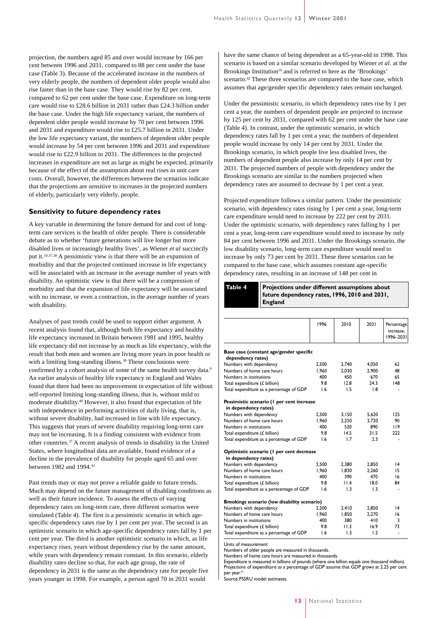projection, the numbers aged 85 and over would increase by 166 per cent between 1996 and 2031, compared to 88 per cent under the base case (Table 3). Because of the accelerated increase in the numbers of very elderly people, the numbers of dependent older people would also rise faster than in the base case. They would rise by 82 per cent, compared to 62 per cent under the base case. Expenditure on long-term care would rise to £28.6 billion in 2031 rather than £24.3 billion under the base case. Under the high life expectancy variant, the numbers of dependent older people would increase by 70 per cent between 1996 and 2031 and expenditure would rise to £25.7 billion in 2031. Under the low life expectancy variant, the numbers of dependent older people would increase by 54 per cent between 1996 and 2031 and expenditure would rise to £22.9 billion in 2031. The differences in the projected increases in expenditure are not as large as might be expected, primarily because of the effect of the assumption about real rises in unit care costs. Overall, however, the differences between the scenarios indicate that the projections are sensitive to increases in the projected numbers of elderly, particularly very elderly, people.

#### **Sensitivity to future dependency rates**

A key variable in determining the future demand for and cost of longterm care services is the health of older people. There is considerable debate as to whether 'future generations will live longer but more disabled lives or increasingly healthy lives', as Wiener *et al* succinctly put it.10,37,38 A pessimistic view is that there will be an expansion of morbidity and that the projected continued increase in life expectancy will be associated with an increase in the average number of years with disability. An optimistic view is that there will be a compression of morbidity and that the expansion of life expectancy will be associated with no increase, or even a contraction, in the average number of years with disability.

Analyses of past trends could be used to support either argument. A recent analysis found that, although both life expectancy and healthy life expectancy increased in Britain between 1981 and 1995, healthy life expectancy did not increase by as much as life expectancy, with the result that both men and women are living more years in poor health or with a limiting long-standing illness.<sup>39</sup> These conclusions were confirmed by a cohort analysis of some of the same health survey data.<sup>6</sup> An earlier analysis of healthy life expectancy in England and Wales found that there had been no improvement in expectation of life without self-reported limiting long-standing illness, that is, without mild to moderate disability.<sup>40</sup> However, it also found that expectation of life with independence in performing activities of daily living, that is, without severe disability, had increased in line with life expectancy. This suggests that years of severe disability requiring long-term care may not be increasing. It is a finding consistent with evidence from other countries.<sup>37</sup> A recent analysis of trends in disability in the United States, where longitudinal data are available, found evidence of a decline in the prevalence of disability for people aged 65 and over between 1982 and 1994.<sup>41</sup>

Past trends may or may not prove a reliable guide to future trends. Much may depend on the future management of disabling conditions as well as their future incidence. To assess the effects of varying dependency rates on long-term care, three different scenarios were simulated (Table 4). The first is a pessimistic scenario in which agespecific dependency rates rise by 1 per cent per year. The second is an optimistic scenario in which age-specific dependency rates fall by 1 per cent per year. The third is another optimistic scenario in which, as life expectancy rises, years without dependency rise by the same amount, while years with dependency remain constant. In this scenario, elderly disability rates decline so that, for each age group, the rate of dependency in 2031 is the same as the dependency rate for people five years younger in 1998. For example, a person aged 70 in 2031 would

have the same chance of being dependent as a 65-year-old in 1998. This scenario is based on a similar scenario developed by Wiener *et al*. at the Brookings Institution<sup>10</sup> and is referred to here as the 'Brookings' scenario.<sup>42</sup> These three scenarios are compared to the base case, which assumes that age/gender specific dependency rates remain unchanged.

Under the pessimistic scenario, in which dependency rates rise by 1 per cent a year, the numbers of dependent people are projected to increase by 125 per cent by 2031, compared with 62 per cent under the base case (Table 4). In contrast, under the optimistic scenario, in which dependency rates fall by 1 per cent a year, the numbers of dependent people would increase by only 14 per cent by 2031. Under the Brookings scenario, in which people live less disabled lives, the numbers of dependent people also increase by only 14 per cent by 2031. The projected numbers of people with dependency under the Brookings scenario are similar to the numbers projected when dependency rates are assumed to decrease by 1 per cent a year.

Projected expenditure follows a similar pattern. Under the pessimistic scenario, with dependency rates rising by 1 per cent a year, long-term care expenditure would need to increase by 222 per cent by 2031. Under the optimistic scenario, with dependency rates falling by 1 per cent a year, long-term care expenditure would need to increase by only 84 per cent between 1996 and 2031. Under the Brookings scenario, the low disability scenario, long-term care expenditure would need to increase by only 73 per cent by 2031. These three scenarios can be compared to the base case, which assumes constant age-specific dependency rates, resulting in an increase of 148 per cent in

## **Table 4**

**Projections under different assumptions about future dependency rates, 1996, 2010 and 2031, England**

|                                              | 1996  | 2010  | 2031  | Percentage<br>increase.<br>1996-2031 |
|----------------------------------------------|-------|-------|-------|--------------------------------------|
|                                              |       |       |       |                                      |
| Base case (constant age/gender specific      |       |       |       |                                      |
| dependency rates)<br>Numbers with dependency | 2,500 | 2,740 | 4,050 | 62                                   |
| Numbers of home care hours                   | 1.960 | 2.030 | 2.900 | 48                                   |
| Numbers in institutions                      | 400   | 450   | 670   | 65                                   |
| Total expenditure (£ billion)                | 9.8   | 12.8  | 24.3  | 48                                   |
| Total expenditure as a percentage of GDP     | 1.6   | 1.5   | 1.8   |                                      |
|                                              |       |       |       |                                      |
| Pessimistic scenario (1 per cent increase    |       |       |       |                                      |
| in dependency rates)                         |       |       |       |                                      |
| Numbers with dependency                      | 2,500 | 3,150 | 5.620 | 125                                  |
| Numbers of home care hours                   | 1.960 | 2.250 | 3.720 | 90                                   |
| Numbers in institutions                      | 400   | 520   | 890   | 119                                  |
| Total expenditure (£ billion)                | 9.8   | 14.5  | 31.5  | 222                                  |
| Total expenditure as a percentage of GDP     | 1.6   | 1.7   | 2.3   |                                      |
| Optimistic scenario (I per cent decrease     |       |       |       |                                      |
| in dependency rates)                         |       |       |       |                                      |
| Numbers with dependency                      | 2,500 | 2,380 | 2,850 | $\overline{14}$                      |
| Numbers of home care hours                   | 1.960 | 1.830 | 2.260 | 15                                   |
| Numbers in institutions                      | 400   | 390   | 470   | 16                                   |
| Total expenditure (£ billion)                | 9.8   | 11.4  | 18.0  | 84                                   |
| Total expenditure as a perecentage of GDP    | 1.6   | 1.3   | 1.3   |                                      |
| Brookings scenario (low disability scenario) |       |       |       |                                      |
| Numbers with dependency                      | 2,500 | 2,410 | 2,850 | $\overline{14}$                      |
| Numbers of home care hours                   | 1,960 | 1,850 | 2,270 | 16                                   |
| Numbers in institutions                      | 400   | 380   | 410   | 3                                    |
| Total expenditure (£ billion)                | 9.8   | 11.3  | 16.9  | 73                                   |
| Total expenditure as a percentage of GDP     | 1.6   | 1.3   | 1.2   | $\blacksquare$                       |
|                                              |       |       |       |                                      |

Units of measurement:

Numbers of older people are measured in thousands.

Numbers of home care hours are measured in thousands.

Expenditure is measured in billions of pounds (where one billion equals one thousand million). Projections of expenditure as a percentage of GDP assume that GDP grows at 2.25 per cent per year.<sup>3</sup>

Source: PSSRU model estimates.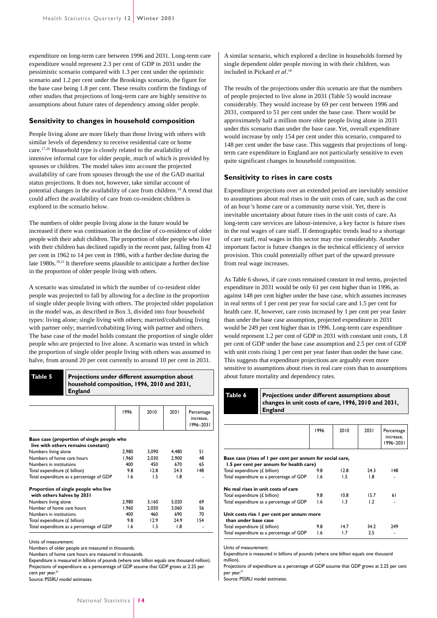expenditure on long-term care between 1996 and 2031. Long-term care expenditure would represent 2.3 per cent of GDP in 2031 under the pessimistic scenario compared with 1.3 per cent under the optimistic scenario and 1.2 per cent under the Brookings scenario, the figure for the base case being 1.8 per cent. These results confirm the findings of other studies that projections of long-term care are highly sensitive to assumptions about future rates of dependency among older people.

#### **Sensitivity to changes in household composition**

People living alone are more likely than those living with others with similar levels of dependency to receive residential care or home care.17,26 Household type is closely related to the availability of intensive informal care for older people, much of which is provided by spouses or children. The model takes into account the projected availability of care from spouses through the use of the GAD marital status projections. It does not, however, take similar account of potential changes in the availability of care from children.<sup>18</sup> A trend that could affect the availability of care from co-resident children is explored in the scenario below.

The numbers of older people living alone in the future would be increased if there was continuation in the decline of co-residence of older people with their adult children. The proportion of older people who live with their children has declined rapidly in the recent past, falling from 42 per cent in 1962 to 14 per cent in 1986, with a further decline during the late 1980s.<sup>19,21</sup> It therefore seems plausible to anticipate a further decline in the proportion of older people living with others.

A scenario was simulated in which the number of co-resident older people was projected to fall by allowing for a decline in the proportion of single older people living with others. The projected older population in the model was, as described in Box 3, divided into four household types: living alone; single living with others; married/cohabiting living with partner only; married/cohabiting living with partner and others. The base case of the model holds constant the proportion of single older people who are projected to live alone. A scenario was tested in which the proportion of single older people living with others was assumed to halve, from around 20 per cent currently to around 10 per cent in 2031.

#### **Projections under different assumption about household composition, 1996, 2010 and 2031, England Table 5**

|                                                                                  | 1996  | 2010  | 2031  | Percentage<br>increase.<br>1996-2031 |
|----------------------------------------------------------------------------------|-------|-------|-------|--------------------------------------|
| Base case (proportion of single people who<br>live with others remains constant) |       |       |       |                                      |
| Numbers living alone                                                             | 2,980 | 3,090 | 4,480 | 51                                   |
| Numbers of home care hours                                                       | 1.960 | 2.030 | 2.900 | 48                                   |
| Numbers in institutions                                                          | 400   | 450   | 670   | 65                                   |
| Total expenditure (£ billion)                                                    | 98    | 12.8  | 243   | 148                                  |
| Total expenditure as a percentage of GDP                                         | 1.6   | 1.5   | 1.8   |                                      |
| Proportion of single people who live<br>with others halves by 2031               |       |       |       |                                      |
| Numbers living alone                                                             | 2.980 | 3.160 | 5,020 | 69                                   |
| Number of home care hours                                                        | 1.960 | 2.050 | 3.060 | 56                                   |
| Numbers in institutions                                                          | 400   | 460   | 690   | 70                                   |
| Total expenditure (£ billion)                                                    | 9.8   | 12.9  | 24.9  | 154                                  |
| Total expenditure as a percentage of GDP                                         | 1.6   | 1.5   | 1.8   |                                      |

Units of measurement:

Numbers of older people are measured in thousands.

Numbers of home care hours are measured in thousands.

Expenditure is measured in billions of pounds (where one billion equals one thousand million). Projections of expenditure as a perecentage of GDP assume that GDP grows at 2.25 per cent per year.<sup>31</sup>

Source: PSSRU model estimates.

A similar scenario, which explored a decline in households formed by single dependent older people moving in with their children, was included in Pickard *et al*. 18

The results of the projections under this scenario are that the numbers of people projected to live alone in 2031 (Table 5) would increase considerably. They would increase by 69 per cent between 1996 and 2031, compared to 51 per cent under the base case. There would be approximately half a million more older people living alone in 2031 under this scenario than under the base case. Yet, overall expenditure would increase by only 154 per cent under this scenario, compared to 148 per cent under the base case. This suggests that projections of longterm care expenditure in England are not particularly sensitive to even quite significant changes in household composition.

#### **Sensitivity to rises in care costs**

Expenditure projections over an extended period are inevitably sensitive to assumptions about real rises in the unit costs of care, such as the cost of an hour's home care or a community nurse visit. Yet, there is inevitable uncertainty about future rises in the unit costs of care. As long-term care services are labour-intensive, a key factor is future rises in the real wages of care staff. If demographic trends lead to a shortage of care staff, real wages in this sector may rise considerably. Another important factor is future changes in the technical efficiency of service provision. This could potentially offset part of the upward pressure from real wage increases.

As Table 6 shows, if care costs remained constant in real terms, projected expenditure in 2031 would be only 61 per cent higher than in 1996, as against 148 per cent higher under the base case, which assumes increases in real terms of 1 per cent per year for social care and 1.5 per cent for health care. If, however, care costs increased by 1 per cent per year faster than under the base case assumption, projected expenditure in 2031 would be 249 per cent higher than in 1996. Long-term care expenditure would represent 1.2 per cent of GDP in 2031 with constant unit costs, 1.8 per cent of GDP under the base case assumption and 2.5 per cent of GDP with unit costs rising 1 per cent per year faster than under the base case. This suggests that expenditure projections are arguably even more sensitive to assumptions about rises in real care costs than to assumptions about future mortality and dependency rates.

**Projections under different assumptions about changes in unit costs of care, 1996, 2010 and 2031, England Table 6**

|                                                                                                      | 1996 | 2010 | 2031 | Percentage<br>increase,<br>1996–2031 |
|------------------------------------------------------------------------------------------------------|------|------|------|--------------------------------------|
| Base case (rises of I per cent per annum for social care,<br>1.5 per cent per annum for health care) |      |      |      |                                      |
| Total expenditure (£ billion)                                                                        | 9.8  | 12.8 | 24.3 | 148                                  |
| Total expenditure as a percentage of GDP                                                             | 1.6  | 1.5  | 1.8  |                                      |
| No real rises in unit costs of care                                                                  |      |      |      |                                      |
| Total expenditure (£ billion)                                                                        | 9.8  | 10.8 | 15.7 | 61                                   |
| Total expenditure as a percentage of GDP                                                             | 1.6  | 1.3  | 1.2  |                                      |
| Unit costs rise I per cent per annum more<br>than under base case                                    |      |      |      |                                      |
| Total expenditure (£ billion)                                                                        | 9.8  | 14.7 | 34.2 | 249                                  |
| Total expenditure as a percentage of GDP                                                             | 1.6  | 1.7  | 2.5  |                                      |
|                                                                                                      |      |      |      |                                      |

Units of measurement:

Expenditure is measured in billions of pounds (where one billion equals one thousand million). .

Projections of expenditure as a percentage of GDP assume that GDP grows at 2.25 per cent per year.<sup>31</sup>

Source: PSSRU model estimates.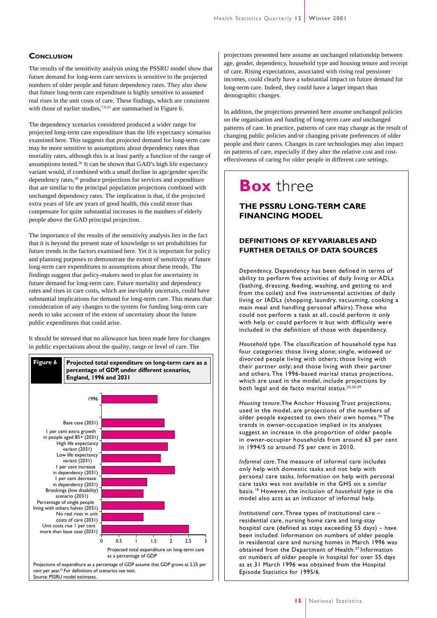#### **CONCLUSION**

The results of the sensitivity analysis using the PSSRU model show that future demand for long-term care services is sensitive to the projected numbers of older people and future dependency rates. They also show that future long-term care expenditure is highly sensitive to assumed real rises in the unit costs of care. These findings, which are consistent with those of earlier studies,<sup>7,9,10</sup> are summarised in Figure 6.

The dependency scenarios considered produced a wider range for projected long-term care expenditure than the life expectancy scenarios examined here. This suggests that projected demand for long-term care may be more sensitive to assumptions about dependency rates than mortality rates, although this is at least partly a function of the range of assumptions tested.<sup>36</sup> It can be shown that GAD's high life expectancy variant would, if combined with a small decline in age/gender specific dependency rates,<sup>43</sup> produce projections for services and expenditure that are similar to the principal population projections combined with unchanged dependency rates. The implication is that, if the projected extra years of life are years of good health, this could more than compensate for quite substantial increases in the numbers of elderly people above the GAD principal projection.

The importance of the results of the sensitivity analysis lies in the fact that it is beyond the present state of knowledge to set probabilities for future trends in the factors examined here. Yet it is important for policy and planning purposes to demonstrate the extent of sensitivity of future long-term care expenditures to assumptions about these trends. The findings suggest that policy-makers need to plan for uncertainty in future demand for long-term care. Future mortality and dependency rates and rises in care costs, which are inevitably uncertain, could have substantial implications for demand for long-term care. This means that consideration of any changes to the system for funding long-term care needs to take account of the extent of uncertainty about the future public expenditures that could arise.

It should be stressed that no allowance has been made here for changes in public expectations about the quality, range or level of care. The



projections presented here assume an unchanged relationship between age, gender, dependency, household type and housing tenure and receipt of care. Rising expectations, associated with rising real pensioner incomes, could clearly have a substantial impact on future demand for long-term care. Indeed, they could have a larger impact than demographic changes.

In addition, the projections presented here assume unchanged policies on the organisation and funding of long-term care and unchanged patterns of care. In practice, patterns of care may change as the result of changing public policies and/or changing private preferences of older people and their carers. Changes in care technologies may also impact on patterns of care, especially if they alter the relative cost and costeffectiveness of caring for older people in different care settings.

## **Box** three

#### **THE PSSRU LONG-TERM CARE FINANCING MODEL**

#### **DEFINITIONS OF KEY VARIABLES AND FURTHER DETAILS OF DATA SOURCES**

*Dependency*. Dependency has been defined in terms of ability to perform five activities of daily living or ADLs (bathing, dressing, feeding, washing, and getting to and from the toilet) and five instrumental activities of daily living or IADLs (shopping, laundry, vacuuming, cooking a main meal and handling personal affairs). Those who could not perform a task at all, could perform it only with help or could perform it but with difficulty were included in the definition of those with dependency.

*Household type.* The classification of household type has four categories: those living alone; single, widowed or divorced people living with others; those living with their partner only; and those living with their partner and others. The 1996-based marital status projections, which are used in the model, include projections by both legal and de facto marital status.<sup>22,23,29</sup>

*Housing tenure*.The Anchor Housing Trust projections, used in the model, are projections of the numbers of older people expected to own their own homes.<sup>30</sup> The trends in owner-occupation implied in its analyses suggest an increase in the proportion of older people in owner-occupier households from around 63 per cent in 1994/5 to around 75 per cent in 2010.

*Informal care*. The measure of informal care includes only help with domestic tasks and not help with personal care tasks. Information on help with personal care tasks was not available in the GHS on a similar basis.<sup>18</sup> However, the inclusion of *household type* in the model also acts as an indicator of informal help.

*Institutional care*. Three types of institutional care – residential care, nursing home care and long-stay hospital care (defined as stays exceeding 55 days) – have been included. Information on numbers of older people in residential care and nursing homes in March 1996 was obtained from the Department of Health.<sup>27</sup> Information on numbers of older people in hospital for over 55 days as at 31 March 1996 was obtained from the Hospital Episode Statistics for 1995/6.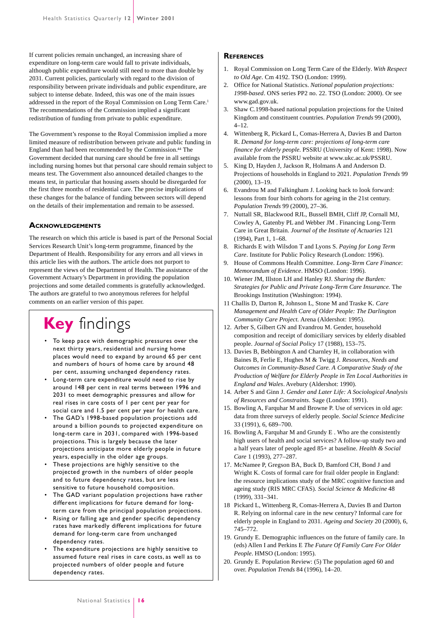If current policies remain unchanged, an increasing share of expenditure on long-term care would fall to private individuals, although public expenditure would still need to more than double by 2031. Current policies, particularly with regard to the division of responsibility between private individuals and public expenditure, are subject to intense debate. Indeed, this was one of the main issues addressed in the report of the Royal Commission on Long Term Care.<sup>1</sup> The recommendations of the Commission implied a significant redistribution of funding from private to public expenditure.

The Government's response to the Royal Commission implied a more limited measure of redistribution between private and public funding in England than had been recommended by the Commission.44 The Government decided that nursing care should be free in all settings including nursing homes but that personal care should remain subject to means test. The Government also announced detailed changes to the means test, in particular that housing assets should be disregarded for the first three months of residential care. The precise implications of these changes for the balance of funding between sectors will depend on the details of their implementation and remain to be assessed.

#### **ACKNOWLEDGEMENTS**

The research on which this article is based is part of the Personal Social Services Research Unit's long-term programme, financed by the Department of Health. Responsibility for any errors and all views in this article lies with the authors. The article does not purport to represent the views of the Department of Health. The assistance of the Government Actuary's Department in providing the population projections and some detailed comments is gratefully acknowledged. The authors are grateful to two anonymous referees for helpful comments on an earlier version of this paper.

# **Key** findings

- To keep pace with demographic pressures over the next thirty years, residential and nursing home places would need to expand by around 65 per cent and numbers of hours of home care by around 48 per cent, assuming unchanged dependency rates.
- Long-term care expenditure would need to rise by around 148 per cent in real terms between 1996 and 2031 to meet demographic pressures and allow for real rises in care costs of 1 per cent per year for social care and 1.5 per cent per year for health care.
- The GAD's 1998-based population projections add around a billion pounds to projected expenditure on long-term care in 2031, compared with 1996-based projections. This is largely because the later projections anticipate more elderly people in future years, especially in the older age groups.
- These projections are highly sensitive to the projected growth in the numbers of older people and to future dependency rates, but are less sensitive to future household composition.
- The GAD variant population projections have rather different implications for future demand for longterm care from the principal population projections.
- Rising or falling age and gender specific dependency rates have markedly different implications for future demand for long-term care from unchanged dependency rates.
- The expenditure projections are highly sensitive to assumed future real rises in care costs, as well as to projected numbers of older people and future dependency rates.

#### **REFERENCES**

- 1. Royal Commission on Long Term Care of the Elderly. *With Respect to Old Age*. Cm 4192. TSO (London: 1999).
- 2. Office for National Statistics. *National population projections: 1998-based*. ONS series PP2 no. 22. TSO (London: 2000). Or see www.gad.gov.uk.
- 3. Shaw C.1998-based national population projections for the United Kingdom and constituent countries. *Population Trends* 99 (2000), 4–12.
- 4. Wittenberg R, Pickard L, Comas-Herrera A, Davies B and Darton R. *Demand for long-term care: projections of long-term care finance for elderly people*. PSSRU (University of Kent: 1998). Now available from the PSSRU website at www.ukc.ac.uk/PSSRU.
- 5. King D, Hayden J, Jackson R, Holmans A and Anderson D. Projections of households in England to 2021. *Population Trends* 99 (2000), 13–19.
- 6. Evandrou M and Falkingham J. Looking back to look forward: lessons from four birth cohorts for ageing in the 21st century. *Population Trends* 99 (2000), 27–36.
- 7. Nuttall SR, Blackwood RJL, Bussell BMH, Cliff JP, Cornall MJ, Cowley A, Gatenby PL and Webber JM . Financing Long-Term Care in Great Britain. *Journal of the Institute of Actuaries* 121 (1994), Part 1, 1–68.
- 8. Richards E with Wilsdon T and Lyons S. *Paying for Long Term Care*. Institute for Public Policy Research (London: 1996).
- 9. House of Commons Health Committee. *Long-Term Care Finance*: *Memorandum of Evidence*. HMSO (London: 1996).
- 10. Wiener JM, Illston LH and Hanley RJ. *Sharing the Burden: Strategies for Public and Private Long-Term Care Insurance.* The Brookings Institution (Washington: 1994).
- 11 Challis D, Darton R, Johnson L, Stone M and Traske K. *Care Management and Health Care of Older People: The Darlington Community Care Project.* Arena (Aldershot: 1995).
- 12. Arber S, Gilbert GN and Evandrou M. Gender, household composition and receipt of domiciliary services by elderly disabled people. *Journal of Social Policy* 17 (1988), 153–75.
- 13. Davies B, Bebbington A and Charnley H, in collaboration with Baines B, Ferlie E, Hughes M & Twigg J. *Resources, Needs and Outcomes in Community-Based Care. A Comparative Study of the Production of Welfare for Elderly People in Ten Local Authorities in England and Wales*. Avebury (Aldershot: 1990).
- 14. Arber S and Ginn J. *Gender and Later Life: A Sociological Analysis of Resources and Constraints.* Sage (London: 1991).
- 15. Bowling A, Farquhar M and Browne P. Use of services in old age: data from three surveys of elderly people. *Social Science Medicine* 33 (1991), 6, 689–700.
- 16. Bowling A, Farquhar M and Grundy E . Who are the consistently high users of health and social services? A follow-up study two and a half years later of people aged 85+ at baseline. *Health & Social Care* 1 (1993), 277–287.
- 17. McNamee P, Gregson BA, Buck D, Bamford CH, Bond J and Wright K. Costs of formal care for frail older people in England: the resource implications study of the MRC cognitive function and ageing study (RIS MRC CFAS). *Social Science & Medicine* 48 (1999), 331–341.
- 18 Pickard L, Wittenberg R, Comas-Herrera A, Davies B and Darton R. Relying on informal care in the new century? Informal care for elderly people in England to 2031. *Ageing and Society* 20 (2000), 6, 745–772.
- 19. Grundy E. Demographic influences on the future of family care. In (eds) Allen I and Perkins E *The Future Of Family Care For Older People*. HMSO (London: 1995).
- 20. Grundy E. Population Review: (5) The population aged 60 and over. *Population Trends* 84 (1996), 14–20.